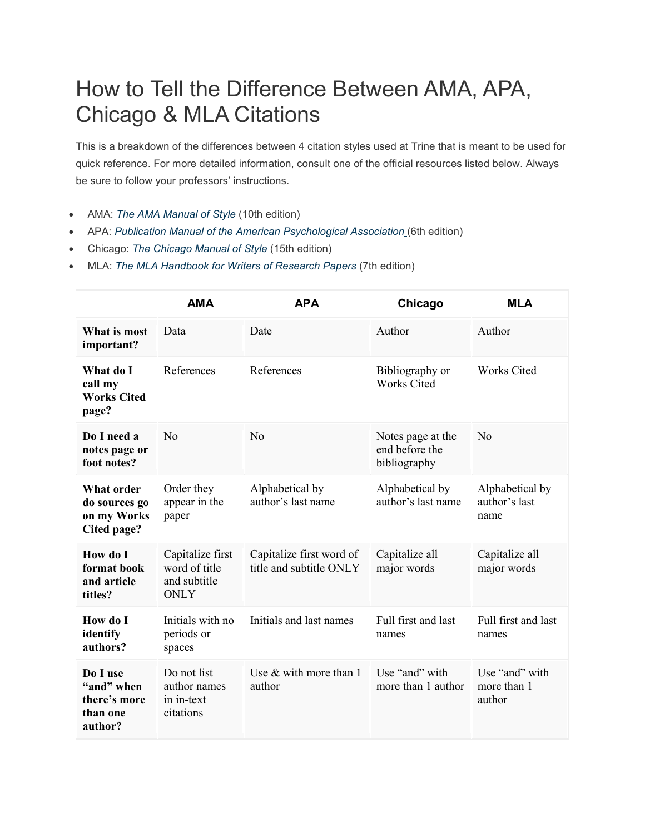## How to Tell the Difference Between AMA, APA, Chicago & MLA Citations

This is a breakdown of the differences between 4 citation styles used at Trine that is meant to be used for quick reference. For more detailed information, consult one of the official resources listed below. Always be sure to follow your professors' instructions.

- AMA: *The AMA [Manual](https://trine.worldcat.org/oclc/435668984) of Style* (10th edition)
- APA: *Publication Manual of the American [Psychological](https://trine.worldcat.org/oclc/316736612) Association* (6th edition)
- Chicago: *The [Chicago](https://trine.worldcat.org/oclc/51553085) Manual of Style* (15th edition)
- MLA: *The MLA [Handbook](https://trine.worldcat.org/oclc/276228865) for Writers of Research Papers* (7th edition)

|                                                               | <b>AMA</b>                                                       | <b>APA</b>                                          | Chicago                                             | <b>MLA</b>                               |
|---------------------------------------------------------------|------------------------------------------------------------------|-----------------------------------------------------|-----------------------------------------------------|------------------------------------------|
| What is most<br>important?                                    | Data                                                             | Date                                                | Author                                              | Author                                   |
| What do I<br>call my<br><b>Works Cited</b><br>page?           | References                                                       | References                                          | Bibliography or<br><b>Works Cited</b>               | <b>Works Cited</b>                       |
| Do I need a<br>notes page or<br>foot notes?                   | N <sub>o</sub>                                                   | N <sub>o</sub>                                      | Notes page at the<br>end before the<br>bibliography | N <sub>o</sub>                           |
| What order<br>do sources go<br>on my Works<br>Cited page?     | Order they<br>appear in the<br>paper                             | Alphabetical by<br>author's last name               | Alphabetical by<br>author's last name               | Alphabetical by<br>author's last<br>name |
| How do I<br>format book<br>and article<br>titles?             | Capitalize first<br>word of title<br>and subtitle<br><b>ONLY</b> | Capitalize first word of<br>title and subtitle ONLY | Capitalize all<br>major words                       | Capitalize all<br>major words            |
| How do I<br>identify<br>authors?                              | Initials with no<br>periods or<br>spaces                         | Initials and last names                             | Full first and last<br>names                        | Full first and last<br>names             |
| Do I use<br>"and" when<br>there's more<br>than one<br>author? | Do not list<br>author names<br>in in-text<br>citations           | Use $&$ with more than 1<br>author                  | Use "and" with<br>more than 1 author                | Use "and" with<br>more than 1<br>author  |